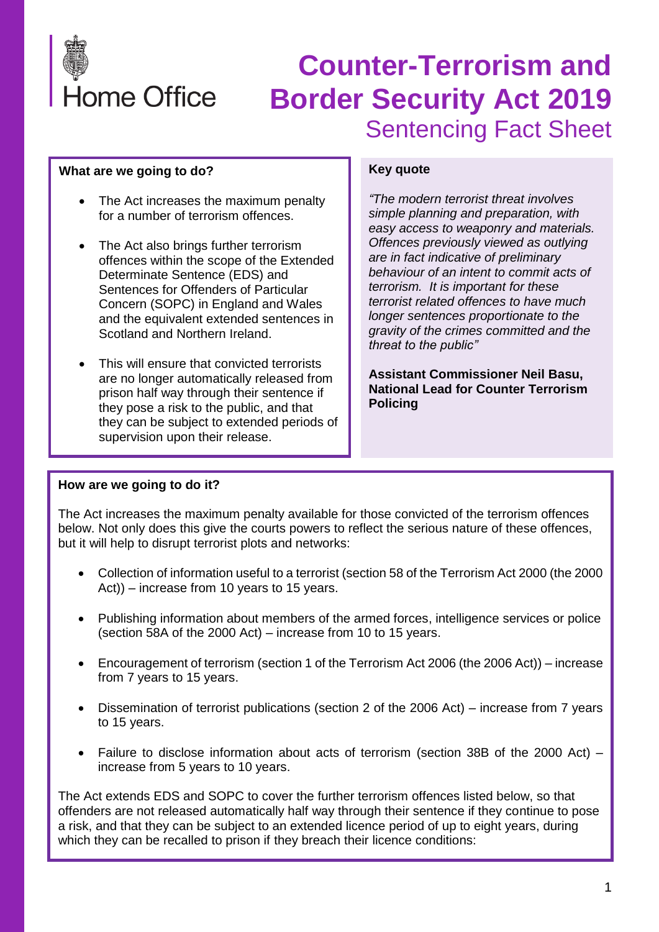

#### **What are we going to do?**

- The Act increases the maximum penalty for a number of terrorism offences.
- The Act also brings further terrorism offences within the scope of the Extended Determinate Sentence (EDS) and Sentences for Offenders of Particular Concern (SOPC) in England and Wales and the equivalent extended sentences in Scotland and Northern Ireland.
- This will ensure that convicted terrorists are no longer automatically released from prison half way through their sentence if they pose a risk to the public, and that they can be subject to extended periods of supervision upon their release.

#### **Key quote**

*"The modern terrorist threat involves simple planning and preparation, with easy access to weaponry and materials. Offences previously viewed as outlying are in fact indicative of preliminary behaviour of an intent to commit acts of terrorism. It is important for these terrorist related offences to have much longer sentences proportionate to the gravity of the crimes committed and the threat to the public"*

**Assistant Commissioner Neil Basu, National Lead for Counter Terrorism Policing**

#### **How are we going to do it?**

The Act increases the maximum penalty available for those convicted of the terrorism offences below. Not only does this give the courts powers to reflect the serious nature of these offences, but it will help to disrupt terrorist plots and networks:

- Collection of information useful to a terrorist (section 58 of the Terrorism Act 2000 (the 2000 Act)) – increase from 10 years to 15 years.
- Publishing information about members of the armed forces, intelligence services or police (section 58A of the 2000 Act) – increase from 10 to 15 years.
- Encouragement of terrorism (section 1 of the Terrorism Act 2006 (the 2006 Act)) increase from 7 years to 15 years.
- Dissemination of terrorist publications (section 2 of the 2006 Act) increase from 7 years to 15 years.
- Failure to disclose information about acts of terrorism (section 38B of the 2000 Act) increase from 5 years to 10 years.

The Act extends EDS and SOPC to cover the further terrorism offences listed below, so that offenders are not released automatically half way through their sentence if they continue to pose a risk, and that they can be subject to an extended licence period of up to eight years, during which they can be recalled to prison if they breach their licence conditions: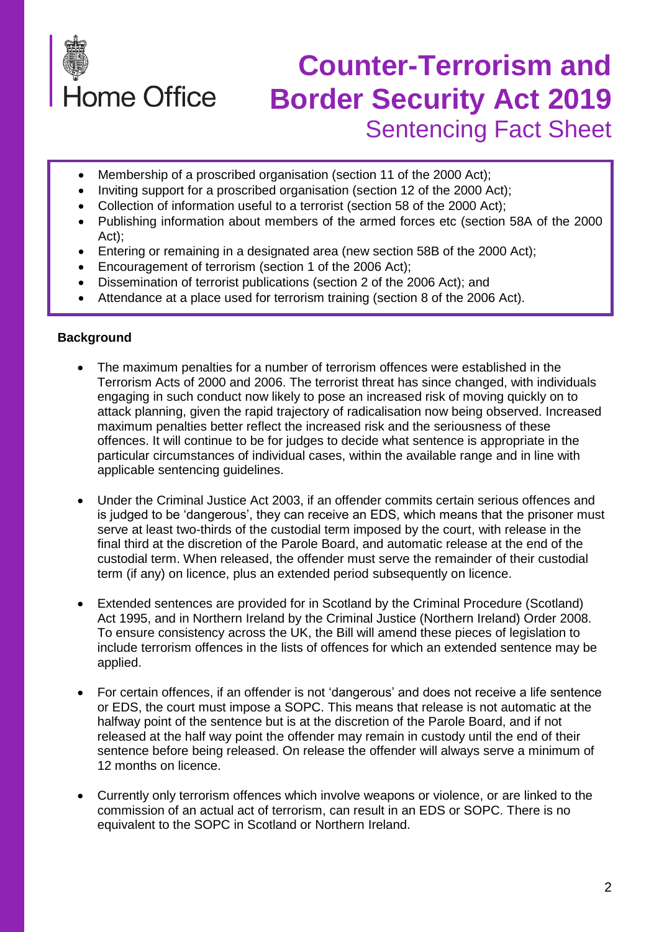

- Membership of a proscribed organisation (section 11 of the 2000 Act);
- Inviting support for a proscribed organisation (section 12 of the 2000 Act);
- Collection of information useful to a terrorist (section 58 of the 2000 Act);
- Publishing information about members of the armed forces etc (section 58A of the 2000 Act);
- Entering or remaining in a designated area (new section 58B of the 2000 Act);
- Encouragement of terrorism (section 1 of the 2006 Act);
- Dissemination of terrorist publications (section 2 of the 2006 Act); and
- Attendance at a place used for terrorism training (section 8 of the 2006 Act).

#### **Background**

- The maximum penalties for a number of terrorism offences were established in the Terrorism Acts of 2000 and 2006. The terrorist threat has since changed, with individuals engaging in such conduct now likely to pose an increased risk of moving quickly on to attack planning, given the rapid trajectory of radicalisation now being observed. Increased maximum penalties better reflect the increased risk and the seriousness of these offences. It will continue to be for judges to decide what sentence is appropriate in the particular circumstances of individual cases, within the available range and in line with applicable sentencing guidelines.
- Under the Criminal Justice Act 2003, if an offender commits certain serious offences and is judged to be 'dangerous', they can receive an EDS, which means that the prisoner must serve at least two-thirds of the custodial term imposed by the court, with release in the final third at the discretion of the Parole Board, and automatic release at the end of the custodial term. When released, the offender must serve the remainder of their custodial term (if any) on licence, plus an extended period subsequently on licence.
- Extended sentences are provided for in Scotland by the Criminal Procedure (Scotland) Act 1995, and in Northern Ireland by the Criminal Justice (Northern Ireland) Order 2008. To ensure consistency across the UK, the Bill will amend these pieces of legislation to include terrorism offences in the lists of offences for which an extended sentence may be applied.
- For certain offences, if an offender is not 'dangerous' and does not receive a life sentence or EDS, the court must impose a SOPC. This means that release is not automatic at the halfway point of the sentence but is at the discretion of the Parole Board, and if not released at the half way point the offender may remain in custody until the end of their sentence before being released. On release the offender will always serve a minimum of 12 months on licence.
- Currently only terrorism offences which involve weapons or violence, or are linked to the commission of an actual act of terrorism, can result in an EDS or SOPC. There is no equivalent to the SOPC in Scotland or Northern Ireland.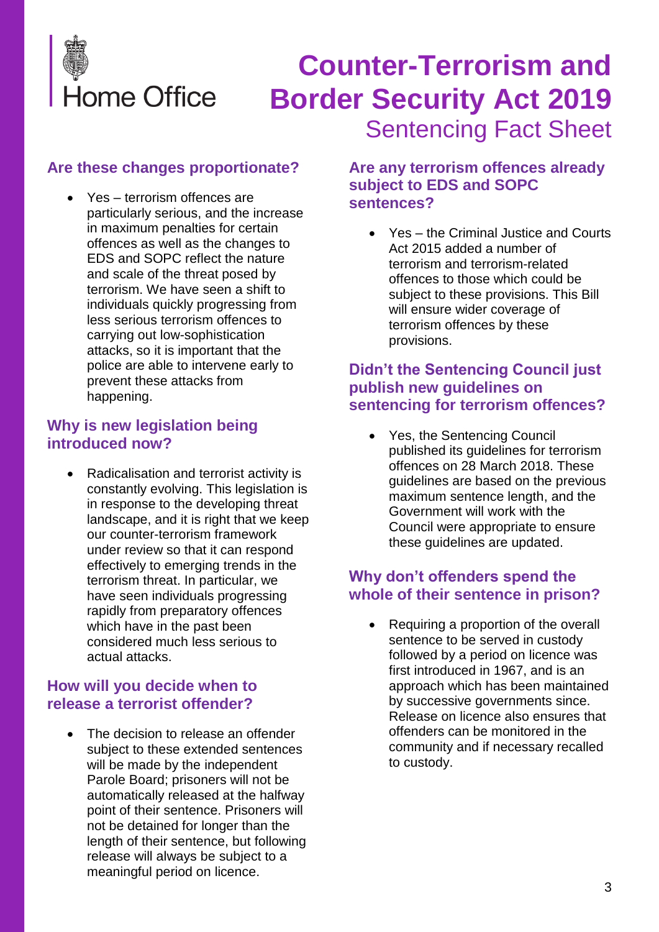

## **Are these changes proportionate?**

Yes – terrorism offences are particularly serious, and the increase in maximum penalties for certain offences as well as the changes to EDS and SOPC reflect the nature and scale of the threat posed by terrorism. We have seen a shift to individuals quickly progressing from less serious terrorism offences to carrying out low-sophistication attacks, so it is important that the police are able to intervene early to prevent these attacks from happening.

### **Why is new legislation being introduced now?**

• Radicalisation and terrorist activity is constantly evolving. This legislation is in response to the developing threat landscape, and it is right that we keep our counter-terrorism framework under review so that it can respond effectively to emerging trends in the terrorism threat. In particular, we have seen individuals progressing rapidly from preparatory offences which have in the past been considered much less serious to actual attacks.

### **How will you decide when to release a terrorist offender?**

The decision to release an offender subject to these extended sentences will be made by the independent Parole Board; prisoners will not be automatically released at the halfway point of their sentence. Prisoners will not be detained for longer than the length of their sentence, but following release will always be subject to a meaningful period on licence.

### **Are any terrorism offences already subject to EDS and SOPC sentences?**

• Yes – the Criminal Justice and Courts Act 2015 added a number of terrorism and terrorism-related offences to those which could be subject to these provisions. This Bill will ensure wider coverage of terrorism offences by these provisions.

### **Didn't the Sentencing Council just publish new guidelines on sentencing for terrorism offences?**

Yes, the Sentencing Council published its guidelines for terrorism offences on 28 March 2018. These guidelines are based on the previous maximum sentence length, and the Government will work with the Council were appropriate to ensure these guidelines are updated.

### **Why don't offenders spend the whole of their sentence in prison?**

• Requiring a proportion of the overall sentence to be served in custody followed by a period on licence was first introduced in 1967, and is an approach which has been maintained by successive governments since. Release on licence also ensures that offenders can be monitored in the community and if necessary recalled to custody.